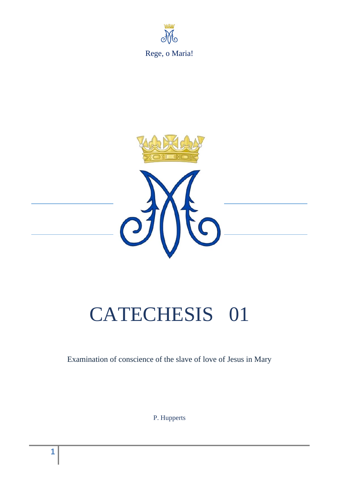



# CATECHESIS 01

Examination of conscience of the slave of love of Jesus in Mary

P. Hupperts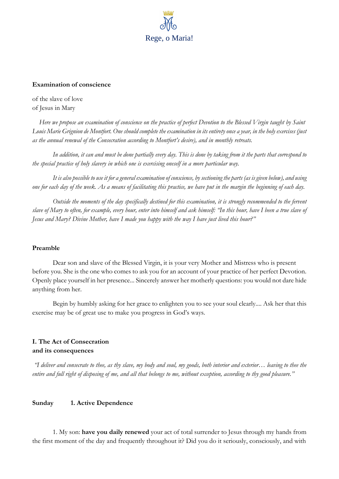

#### **Examination of conscience**

of the slave of love of Jesus in Mary

*Here we propose an examination of conscience on the practice of perfect Devotion to the Blessed Virgin taught by Saint Louis Marie Grignion de Montfort. One should complete the examination in its entirety once a year, in the holy exercises (just as the annual renewal of the Consecration according to Montfort's desire), and in monthly retreats.*

 *In addition, it can and must be done partially every day. This is done by taking from it the parts that correspond to the special practice of holy slavery in which one is exercising oneself in a more particular way.*

 *It is also possible to use it for a general examination of conscience, by sectioning the parts (as is given below), and using one for each day of the week. As a means of facilitating this practice, we have put in the margin the beginning of each day.*

 *Outside the moments of the day specifically destined for this examination, it is strongly recommended to the fervent slave of Mary to often, for example, every hour, enter into himself and ask himself: "In this hour, have I been a true slave of Jesus and Mary? Divine Mother, have I made you happy with the way I have just lived this hour?"*

#### **Preamble**

 Dear son and slave of the Blessed Virgin, it is your very Mother and Mistress who is present before you. She is the one who comes to ask you for an account of your practice of her perfect Devotion. Openly place yourself in her presence... Sincerely answer her motherly questions: you would not dare hide anything from her.

 Begin by humbly asking for her grace to enlighten you to see your soul clearly.... Ask her that this exercise may be of great use to make you progress in God's ways.

# **I. The Act of Consecration and its consequences**

*"I deliver and consecrate to thee, as thy slave, my body and soul, my goods, both interior and exterior… leaving to thee the entire and full right of disposing of me, and all that belongs to me, without exception, according to thy good pleasure."*

### **Sunday 1. Active Dependence**

1. My son: **have you daily renewed** your act of total surrender to Jesus through my hands from the first moment of the day and frequently throughout it? Did you do it seriously, consciously, and with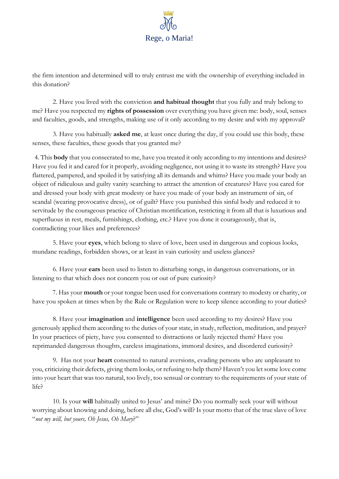

the firm intention and determined will to truly entrust me with the ownership of everything included in this donation?

2. Have you lived with the conviction **and habitual thought** that you fully and truly belong to me? Have you respected my **rights of possession** over everything you have given me: body, soul, senses and faculties, goods, and strengths, making use of it only according to my desire and with my approval?

3. Have you habitually **asked me**, at least once during the day, if you could use this body, these senses, these faculties, these goods that you granted me?

4. This **body** that you consecrated to me, have you treated it only according to my intentions and desires? Have you fed it and cared for it properly, avoiding negligence, not using it to waste its strength? Have you flattered, pampered, and spoiled it by satisfying all its demands and whims? Have you made your body an object of ridiculous and guilty vanity searching to attract the attention of creatures? Have you cared for and dressed your body with great modesty or have you made of your body an instrument of sin, of scandal (wearing provocative dress), or of guilt? Have you punished this sinful body and reduced it to servitude by the courageous practice of Christian mortification, restricting it from all that is luxurious and superfluous in rest, meals, furnishings, clothing, etc.? Have you done it courageously, that is, contradicting your likes and preferences?

5. Have your **eyes**, which belong to slave of love, been used in dangerous and copious looks, mundane readings, forbidden shows, or at least in vain curiosity and useless glances?

6. Have your **ears** been used to listen to disturbing songs, in dangerous conversations, or in listening to that which does not concern you or out of pure curiosity?

7. Has your **mouth** or your tongue been used for conversations contrary to modesty or charity, or have you spoken at times when by the Rule or Regulation were to keep silence according to your duties?

8. Have your **imagination** and **intelligence** been used according to my desires? Have you generously applied them according to the duties of your state, in study, reflection, meditation, and prayer? In your practices of piety, have you consented to distractions or lazily rejected them? Have you reprimanded dangerous thoughts, careless imaginations, immoral desires, and disordered curiosity?

9. Has not your **heart** consented to natural aversions, evading persons who are unpleasant to you, criticizing their defects, giving them looks, or refusing to help them? Haven't you let some love come into your heart that was too natural, too lively, too sensual or contrary to the requirements of your state of life?

10. Is your **will** habitually united to Jesus' and mine? Do you normally seek your will without worrying about knowing and doing, before all else, God's will? Is your motto that of the true slave of love "*not my will, but yours, Oh Jesus, Oh Mary*?"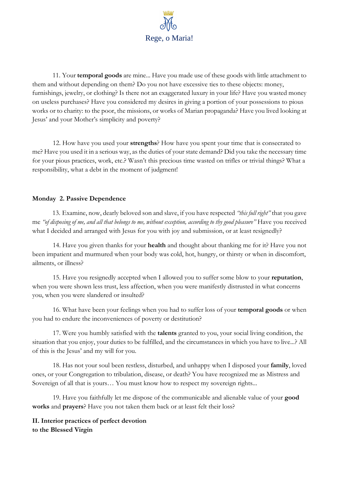

11. Your **temporal goods** are mine... Have you made use of these goods with little attachment to them and without depending on them? Do you not have excessive ties to these objects: money, furnishings, jewelry, or clothing? Is there not an exaggerated luxury in your life? Have you wasted money on useless purchases? Have you considered my desires in giving a portion of your possessions to pious works or to charity: to the poor, the missions, or works of Marian propaganda? Have you lived looking at Jesus' and your Mother's simplicity and poverty?

12. How have you used your **strengths**? How have you spent your time that is consecrated to me? Have you used it in a serious way, as the duties of your state demand? Did you take the necessary time for your pious practices, work, etc.? Wasn't this precious time wasted on trifles or trivial things? What a responsibility, what a debt in the moment of judgment!

## **Monday 2. Passive Dependence**

13. Examine, now, dearly beloved son and slave, if you have respected *"this full right"* that you gave me *"of disposing of me, and all that belongs to me, without exception, according to thy good pleasure"* Have you received what I decided and arranged with Jesus for you with joy and submission, or at least resignedly?

14. Have you given thanks for your **health** and thought about thanking me for it? Have you not been impatient and murmured when your body was cold, hot, hungry, or thirsty or when in discomfort, ailments, or illness?

15. Have you resignedly accepted when I allowed you to suffer some blow to your **reputation**, when you were shown less trust, less affection, when you were manifestly distrusted in what concerns you, when you were slandered or insulted?

16. What have been your feelings when you had to suffer loss of your **temporal goods** or when you had to endure the inconveniences of poverty or destitution?

17. Were you humbly satisfied with the **talents** granted to you, your social living condition, the situation that you enjoy, your duties to be fulfilled, and the circumstances in which you have to live...? All of this is the Jesus' and my will for you.

18. Has not your soul been restless, disturbed, and unhappy when I disposed your **family**, loved ones, or your Congregation to tribulation, disease, or death? You have recognized me as Mistress and Sovereign of all that is yours… You must know how to respect my sovereign rights...

19. Have you faithfully let me dispose of the communicable and alienable value of your **good works** and **prayers**? Have you not taken them back or at least felt their loss?

**II. Interior practices of perfect devotion to the Blessed Virgin**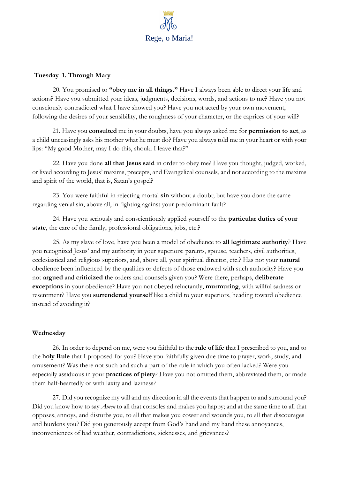

#### **Tuesday 1. Through Mary**

20. You promised to **"obey me in all things."** Have I always been able to direct your life and actions? Have you submitted your ideas, judgments, decisions, words, and actions to me? Have you not consciously contradicted what I have showed you? Have you not acted by your own movement, following the desires of your sensibility, the roughness of your character, or the caprices of your will?

21. Have you **consulted** me in your doubts, have you always asked me for **permission to act**, as a child unceasingly asks his mother what he must do? Have you always told me in your heart or with your lips: "My good Mother, may I do this, should I leave that?"

22. Have you done **all that Jesus said** in order to obey me? Have you thought, judged, worked, or lived according to Jesus' maxims, precepts, and Evangelical counsels, and not according to the maxims and spirit of the world, that is, Satan's gospel?

23. You were faithful in rejecting mortal **sin** without a doubt; but have you done the same regarding venial sin, above all, in fighting against your predominant fault?

24. Have you seriously and conscientiously applied yourself to the **particular duties of your state**, the care of the family, professional obligations, jobs, etc.?

25. As my slave of love, have you been a model of obedience to **all legitimate authority**? Have you recognized Jesus' and my authority in your superiors: parents, spouse, teachers, civil authorities, ecclesiastical and religious superiors, and, above all, your spiritual director, etc.? Has not your **natural** obedience been influenced by the qualities or defects of those endowed with such authority? Have you not **argued** and **criticized** the orders and counsels given you? Were there, perhaps, **deliberate exceptions** in your obedience? Have you not obeyed reluctantly, **murmuring**, with willful sadness or resentment? Have you **surrendered yourself** like a child to your superiors, heading toward obedience instead of avoiding it?

#### **Wednesday**

26. In order to depend on me, were you faithful to the **rule of life** that I prescribed to you, and to the **holy Rule** that I proposed for you? Have you faithfully given due time to prayer, work, study, and amusement? Was there not such and such a part of the rule in which you often lacked? Were you especially assiduous in your **practices of piety**? Have you not omitted them, abbreviated them, or made them half-heartedly or with laxity and laziness?

27. Did you recognize my will and my direction in all the events that happen to and surround you? Did you know how to say *Amen* to all that consoles and makes you happy; and at the same time to all that opposes, annoys, and disturbs you, to all that makes you cower and wounds you, to all that discourages and burdens you? Did you generously accept from God's hand and my hand these annoyances, inconveniences of bad weather, contradictions, sicknesses, and grievances?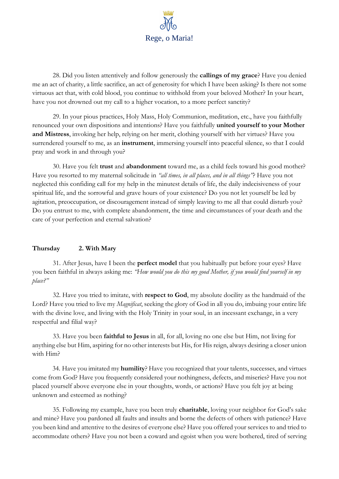

28. Did you listen attentively and follow generously the **callings of my grace**? Have you denied me an act of charity, a little sacrifice, an act of generosity for which I have been asking? Is there not some virtuous act that, with cold blood, you continue to withhold from your beloved Mother? In your heart, have you not drowned out my call to a higher vocation, to a more perfect sanctity?

29. In your pious practices, Holy Mass, Holy Communion, meditation, etc., have you faithfully renounced your own dispositions and intentions? Have you faithfully **united yourself to your Mother and Mistress**, invoking her help, relying on her merit, clothing yourself with her virtues? Have you surrendered yourself to me, as an **instrument**, immersing yourself into peaceful silence, so that I could pray and work in and through you?

30. Have you felt **trust** and **abandonment** toward me, as a child feels toward his good mother? Have you resorted to my maternal solicitude in *"all times, in all places, and in all things"*? Have you not neglected this confiding call for my help in the minutest details of life, the daily indecisiveness of your spiritual life, and the sorrowful and grave hours of your existence? Do you not let yourself be led by agitation, preoccupation, or discouragement instead of simply leaving to me all that could disturb you? Do you entrust to me, with complete abandonment, the time and circumstances of your death and the care of your perfection and eternal salvation?

#### **Thursday 2. With Mary**

31. After Jesus, have I been the **perfect model** that you habitually put before your eyes? Have you been faithful in always asking me: *"How would you do this my good Mother, if you would find yourself in my place?"*

32. Have you tried to imitate, with **respect to God**, my absolute docility as the handmaid of the Lord? Have you tried to live my *Magnificat*, seeking the glory of God in all you do, imbuing your entire life with the divine love, and living with the Holy Trinity in your soul, in an incessant exchange, in a very respectful and filial way?

33. Have you been **faithful to Jesus** in all, for all, loving no one else but Him, not living for anything else but Him, aspiring for no other interests but His, for His reign, always desiring a closer union with Him?

34. Have you imitated my **humility**? Have you recognized that your talents, successes, and virtues come from God? Have you frequently considered your nothingness, defects, and miseries? Have you not placed yourself above everyone else in your thoughts, words, or actions? Have you felt joy at being unknown and esteemed as nothing?

35. Following my example, have you been truly **charitable**, loving your neighbor for God's sake and mine? Have you pardoned all faults and insults and borne the defects of others with patience? Have you been kind and attentive to the desires of everyone else? Have you offered your services to and tried to accommodate others? Have you not been a coward and egoist when you were bothered, tired of serving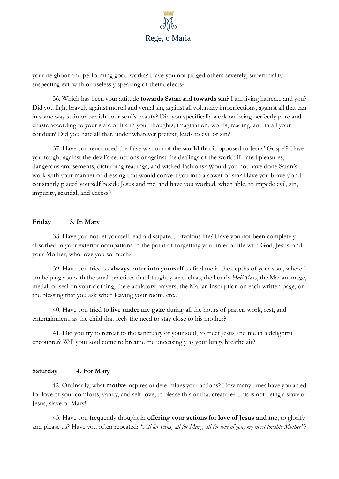

your neighbor and performing good works? Have you not judged others severely, superficiality suspecting evil with or uselessly speaking of their defects?

36. Which has been your attitude **towards Satan** and **towards sin**? I am living hatred... and you? Did you fight bravely against mortal and venial sin, against all voluntary imperfections, against all that can in some way stain or tarnish your soul's beauty? Did you specifically work on being perfectly pure and chaste according to your state of life in your thoughts, imagination, words, reading, and in all your conduct? Did you hate all that, under whatever pretext, leads to evil or sin?

37. Have you renounced the false wisdom of the **world** that is opposed to Jesus' Gospel? Have you fought against the devil's seductions or against the dealings of the world: ill-fated pleasures, dangerous amusements, disturbing readings, and wicked fashions? Would you not have done Satan's work with your manner of dressing that would convert you into a sower of sin? Have you bravely and constantly placed yourself beside Jesus and me, and have you worked, when able, to impede evil, sin, impurity, scandal, and excess?

#### **Friday 3. In Mary**

38. Have you not let yourself lead a dissipated, frivolous life? Have you not been completely absorbed in your exterior occupations to the point of forgetting your interior life with God, Jesus, and your Mother, who love you so much?

39. Have you tried to **always enter into yourself** to find me in the depths of your soul, where I am helping you with the small practices that I taught you: such as, the hourly *Hail Mary*, the Marian image, medal, or seal on your clothing, the ejaculatory prayers, the Marian inscription on each written page, or the blessing that you ask when leaving your room, etc.?

40. Have you tried **to live under my gaze** during all the hours of prayer, work, rest, and entertainment, as the child that feels the need to stay close to his mother?

41. Did you try to retreat to the sanctuary of your soul, to meet Jesus and me in a delightful encounter? Will your soul come to breathe me unceasingly as your lungs breathe air?

## **Saturday 4. For Mary**

42. Ordinarily, what **motive** inspires or determines your actions? How many times have you acted for love of your comforts, vanity, and self-love, to please this or that creature? This is not being a slave of Jesus, slave of Mary!

43. Have you frequently thought in **offering your actions for love of Jesus and me**, to glorify and please us? Have you often repeated: *"All for Jesus, all for Mary, all for love of you, my most lovable Mother"*?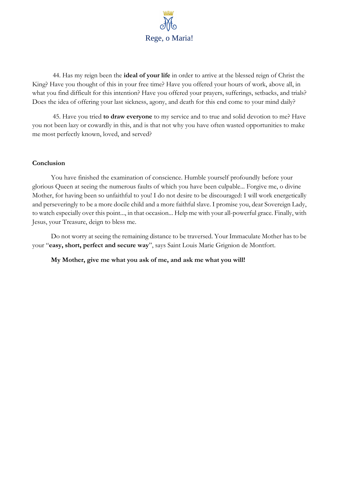

44. Has my reign been the **ideal of your life** in order to arrive at the blessed reign of Christ the King? Have you thought of this in your free time? Have you offered your hours of work, above all, in what you find difficult for this intention? Have you offered your prayers, sufferings, setbacks, and trials? Does the idea of offering your last sickness, agony, and death for this end come to your mind daily?

45. Have you tried **to draw everyone** to my service and to true and solid devotion to me? Have you not been lazy or cowardly in this, and is that not why you have often wasted opportunities to make me most perfectly known, loved, and served?

#### **Conclusion**

You have finished the examination of conscience. Humble yourself profoundly before your glorious Queen at seeing the numerous faults of which you have been culpable... Forgive me, o divine Mother, for having been so unfaithful to you! I do not desire to be discouraged: I will work energetically and perseveringly to be a more docile child and a more faithful slave. I promise you, dear Sovereign Lady, to watch especially over this point..., in that occasion... Help me with your all-powerful grace. Finally, with Jesus, your Treasure, deign to bless me.

Do not worry at seeing the remaining distance to be traversed. Your Immaculate Mother has to be your "**easy, short, perfect and secure way**", says Saint Louis Marie Grignion de Montfort.

**My Mother, give me what you ask of me, and ask me what you will!**